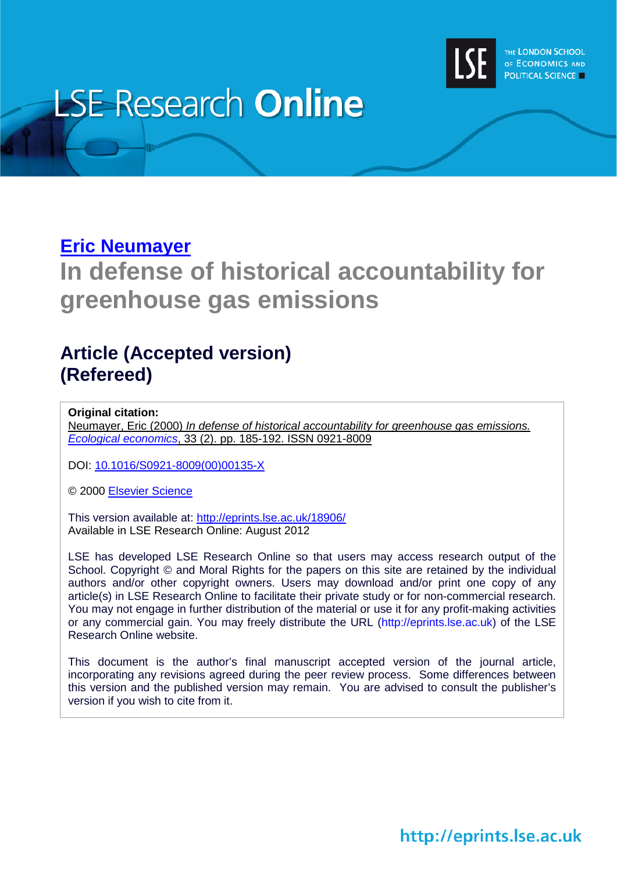

# **LSE Research Online**

# **[Eric Neumayer](http://www2.lse.ac.uk/researchAndExpertise/Experts/profile.aspx?KeyValue=e.neumayer@lse.ac.uk)**

# **In defense of historical accountability for greenhouse gas emissions**

# **Article (Accepted version) (Refereed)**

#### **Original citation:**

Neumayer, Eric (2000) *In defense of historical accountability for greenhouse gas emissions. [Ecological economics](http://www.journals.elsevier.com/ecological-economics/)*, 33 (2). pp. 185-192. ISSN 0921-8009

DOI: [10.1016/S0921-8009\(00\)00135-X](http://dx.doi.org/10.1016/S0921-8009(00)00135-X)

© 2000 [Elsevier Science](http://www.elsevier.com/wps/find/homepage.cws_home)

This version available at:<http://eprints.lse.ac.uk/18906/> Available in LSE Research Online: August 2012

LSE has developed LSE Research Online so that users may access research output of the School. Copyright © and Moral Rights for the papers on this site are retained by the individual authors and/or other copyright owners. Users may download and/or print one copy of any article(s) in LSE Research Online to facilitate their private study or for non-commercial research. You may not engage in further distribution of the material or use it for any profit-making activities or any commercial gain. You may freely distribute the URL (http://eprints.lse.ac.uk) of the LSE Research Online website.

This document is the author's final manuscript accepted version of the journal article, incorporating any revisions agreed during the peer review process. Some differences between this version and the published version may remain. You are advised to consult the publisher's version if you wish to cite from it.

http://eprints.lse.ac.uk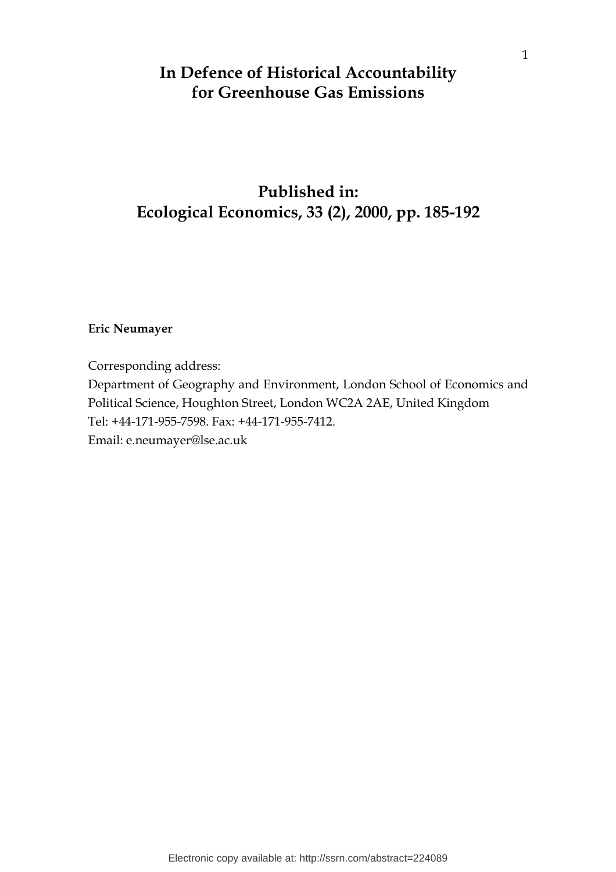## In Defence of Historical Accountability for Greenhouse Gas Emissions

# Published in: Ecological Economics, 33 (2), 2000, pp. 185-192

#### Eric Neumayer

Corresponding address:

Department of Geography and Environment, London School of Economics and Political Science, Houghton Street, London WC2A 2AE, United Kingdom Tel: +44-171-955-7598. Fax: +44-171-955-7412. Email: e.neumayer@lse.ac.uk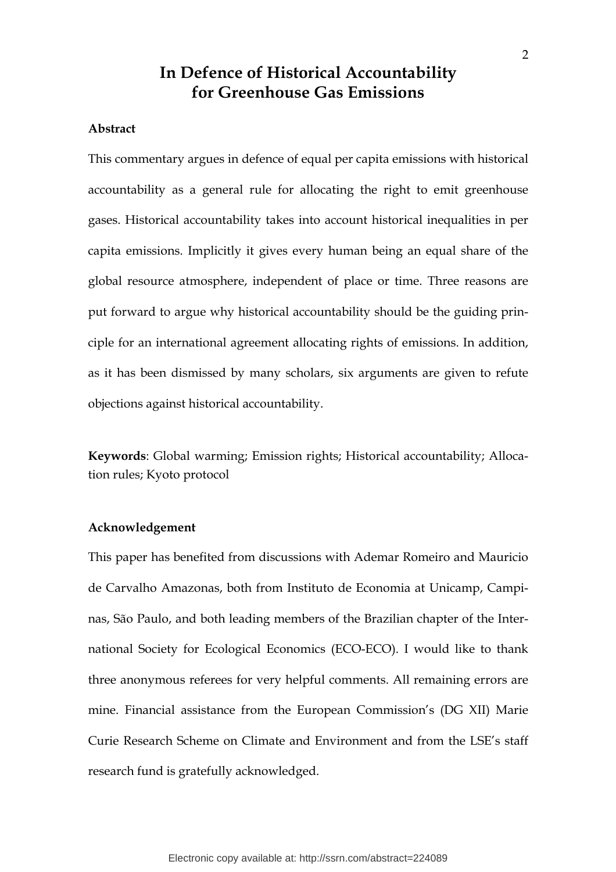### In Defence of Historical Accountability for Greenhouse Gas Emissions

#### Abstract

This commentary argues in defence of equal per capita emissions with historical accountability as a general rule for allocating the right to emit greenhouse gases. Historical accountability takes into account historical inequalities in per capita emissions. Implicitly it gives every human being an equal share of the global resource atmosphere, independent of place or time. Three reasons are put forward to argue why historical accountability should be the guiding principle for an international agreement allocating rights of emissions. In addition, as it has been dismissed by many scholars, six arguments are given to refute objections against historical accountability.

Keywords: Global warming; Emission rights; Historical accountability; Allocation rules; Kyoto protocol

#### Acknowledgement

This paper has benefited from discussions with Ademar Romeiro and Mauricio de Carvalho Amazonas, both from Instituto de Economia at Unicamp, Campinas, São Paulo, and both leading members of the Brazilian chapter of the International Society for Ecological Economics (ECO-ECO). I would like to thank three anonymous referees for very helpful comments. All remaining errors are mine. Financial assistance from the European Commission's (DG XII) Marie Curie Research Scheme on Climate and Environment and from the LSE's staff research fund is gratefully acknowledged.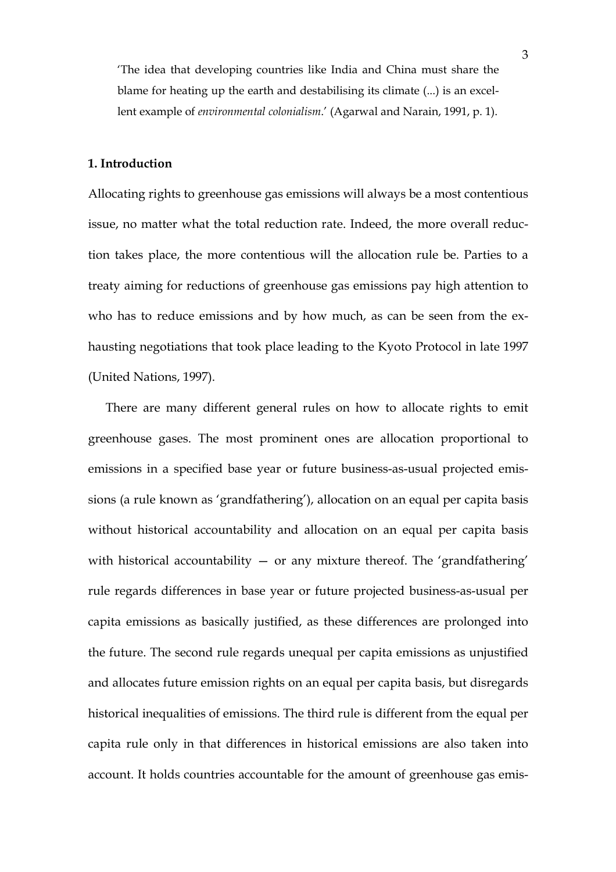'The idea that developing countries like India and China must share the blame for heating up the earth and destabilising its climate (...) is an excellent example of environmental colonialism.' (Agarwal and Narain, 1991, p. 1).

#### 1. Introduction

Allocating rights to greenhouse gas emissions will always be a most contentious issue, no matter what the total reduction rate. Indeed, the more overall reduction takes place, the more contentious will the allocation rule be. Parties to a treaty aiming for reductions of greenhouse gas emissions pay high attention to who has to reduce emissions and by how much, as can be seen from the exhausting negotiations that took place leading to the Kyoto Protocol in late 1997 (United Nations, 1997).

There are many different general rules on how to allocate rights to emit greenhouse gases. The most prominent ones are allocation proportional to emissions in a specified base year or future business-as-usual projected emissions (a rule known as 'grandfathering'), allocation on an equal per capita basis without historical accountability and allocation on an equal per capita basis with historical accountability  $-$  or any mixture thereof. The 'grandfathering' rule regards differences in base year or future projected business-as-usual per capita emissions as basically justified, as these differences are prolonged into the future. The second rule regards unequal per capita emissions as unjustified and allocates future emission rights on an equal per capita basis, but disregards historical inequalities of emissions. The third rule is different from the equal per capita rule only in that differences in historical emissions are also taken into account. It holds countries accountable for the amount of greenhouse gas emis-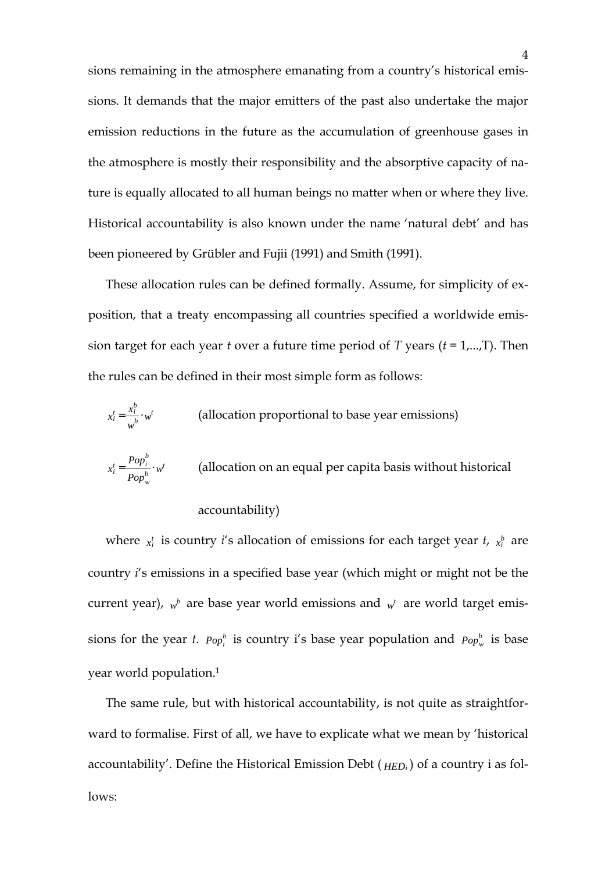sions remaining in the atmosphere emanating from a country's historical emissions. It demands that the major emitters of the past also undertake the major emission reductions in the future as the accumulation of greenhouse gases in the atmosphere is mostly their responsibility and the absorptive capacity of nature is equally allocated to all human beings no matter when or where they live. Historical accountability is also known under the name 'natural debt' and has been pioneered by Grübler and Fujii (1991) and Smith (1991).

These allocation rules can be defined formally. Assume, for simplicity of exposition, that a treaty encompassing all countries specified a worldwide emission target for each year t over a future time period of T years  $(t = 1,...,T)$ . Then the rules can be defined in their most simple form as follows:

$$
x_i^t = \frac{x_i^b}{w^b} \cdot w^t
$$
 (allocation proportional to base year emissions)

$$
x_i^t = \frac{Pop_i^b}{Pop_w^b} \cdot w^t
$$
 (allocation on an equal per capita basis without historical

#### accountability)

where  $x_i^t$  is country *i*'s allocation of emissions for each target year *t*,  $x_i^b$  are country i's emissions in a specified base year (which might or might not be the current year),  $w^b$  are base year world emissions and  $w^t$  are world target emissions for the year *t.*  $Pop_i^b$  is country i's base year population and  $Pop_w^b$  is base year world population.<sup>1</sup>

The same rule, but with historical accountability, is not quite as straightforward to formalise. First of all, we have to explicate what we mean by 'historical accountability'. Define the Historical Emission Debt ( *HED<sup>i</sup>* ) of a country i as follows: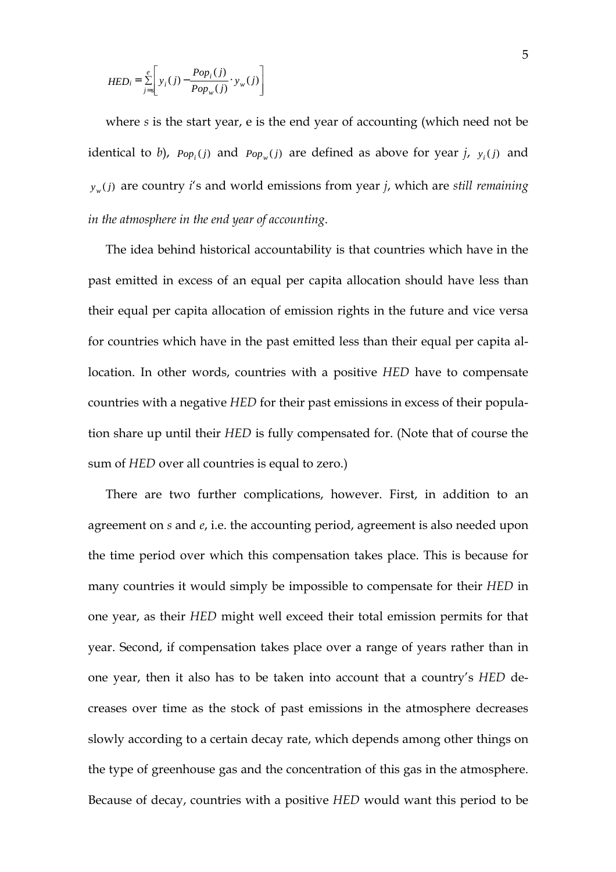$$
HED_i = \sum_{j=s}^{e} \left[ y_i(j) - \frac{Pop_i(j)}{Pop_w(j)} \cdot y_w(j) \right]
$$

where s is the start year, e is the end year of accounting (which need not be identical to b),  $Pop_i(j)$  and  $Pop_w(j)$  are defined as above for year j,  $y_i(j)$  and  $y_w(j)$  are country *i*'s and world emissions from year *j*, which are *still remaining* in the atmosphere in the end year of accounting.

The idea behind historical accountability is that countries which have in the past emitted in excess of an equal per capita allocation should have less than their equal per capita allocation of emission rights in the future and vice versa for countries which have in the past emitted less than their equal per capita allocation. In other words, countries with a positive HED have to compensate countries with a negative HED for their past emissions in excess of their population share up until their HED is fully compensated for. (Note that of course the sum of HED over all countries is equal to zero.)

There are two further complications, however. First, in addition to an agreement on s and e, i.e. the accounting period, agreement is also needed upon the time period over which this compensation takes place. This is because for many countries it would simply be impossible to compensate for their HED in one year, as their HED might well exceed their total emission permits for that year. Second, if compensation takes place over a range of years rather than in one year, then it also has to be taken into account that a country's HED decreases over time as the stock of past emissions in the atmosphere decreases slowly according to a certain decay rate, which depends among other things on the type of greenhouse gas and the concentration of this gas in the atmosphere. Because of decay, countries with a positive HED would want this period to be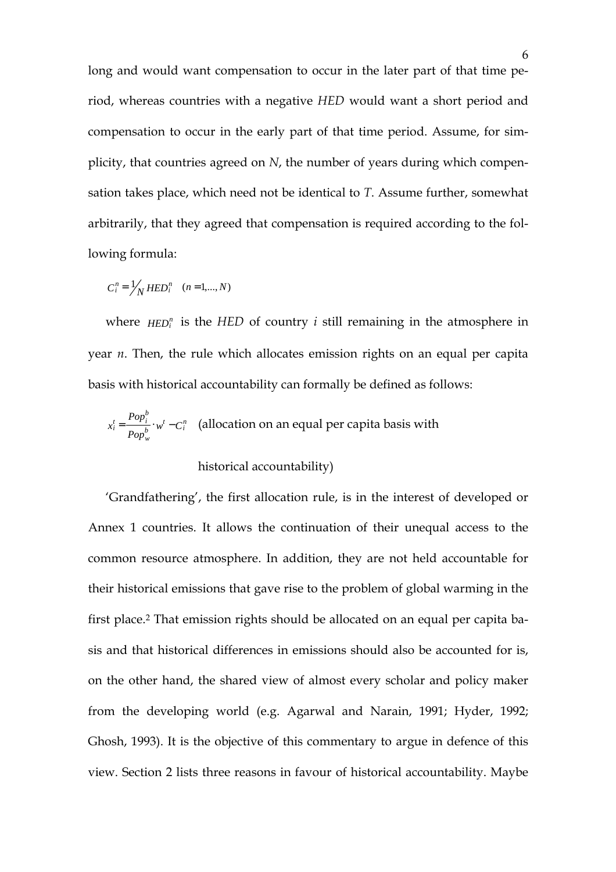long and would want compensation to occur in the later part of that time period, whereas countries with a negative HED would want a short period and compensation to occur in the early part of that time period. Assume, for simplicity, that countries agreed on N, the number of years during which compensation takes place, which need not be identical to T. Assume further, somewhat arbitrarily, that they agreed that compensation is required according to the following formula:

$$
C_i^n = \frac{1}{N} HED_i^n \quad (n = 1, \dots, N)
$$

where  $HED_i^n$  is the  $HED$  of country *i* still remaining in the atmosphere in year n. Then, the rule which allocates emission rights on an equal per capita basis with historical accountability can formally be defined as follows:

$$
x_i^t = \frac{Pop_i^b}{Pop_w^b} \cdot w^t - C_i^n
$$
 (allocation on an equal per capita basis with

#### historical accountability)

'Grandfathering', the first allocation rule, is in the interest of developed or Annex 1 countries. It allows the continuation of their unequal access to the common resource atmosphere. In addition, they are not held accountable for their historical emissions that gave rise to the problem of global warming in the first place.2 That emission rights should be allocated on an equal per capita basis and that historical differences in emissions should also be accounted for is, on the other hand, the shared view of almost every scholar and policy maker from the developing world (e.g. Agarwal and Narain, 1991; Hyder, 1992; Ghosh, 1993). It is the objective of this commentary to argue in defence of this view. Section 2 lists three reasons in favour of historical accountability. Maybe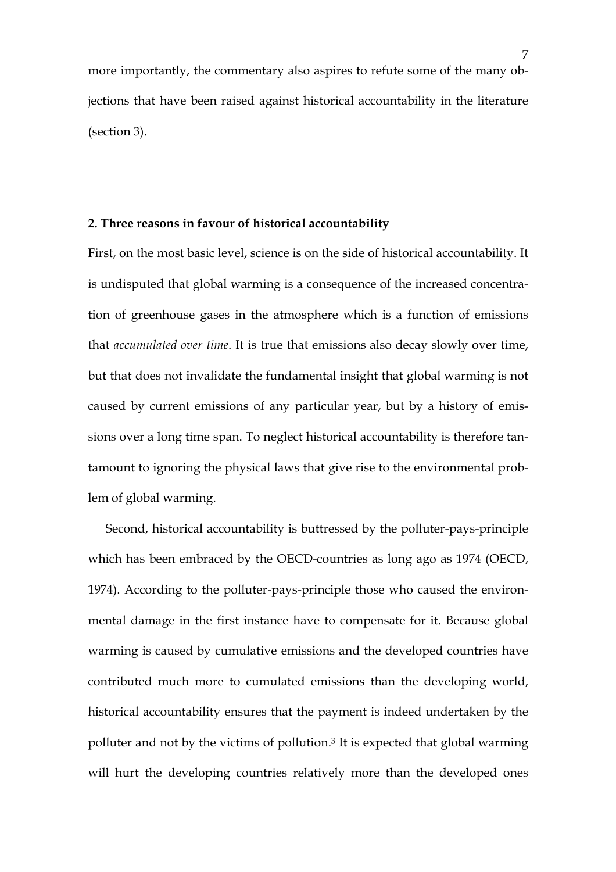more importantly, the commentary also aspires to refute some of the many objections that have been raised against historical accountability in the literature (section 3).

#### 2. Three reasons in favour of historical accountability

First, on the most basic level, science is on the side of historical accountability. It is undisputed that global warming is a consequence of the increased concentration of greenhouse gases in the atmosphere which is a function of emissions that accumulated over time. It is true that emissions also decay slowly over time, but that does not invalidate the fundamental insight that global warming is not caused by current emissions of any particular year, but by a history of emissions over a long time span. To neglect historical accountability is therefore tantamount to ignoring the physical laws that give rise to the environmental problem of global warming.

Second, historical accountability is buttressed by the polluter-pays-principle which has been embraced by the OECD-countries as long ago as 1974 (OECD, 1974). According to the polluter-pays-principle those who caused the environmental damage in the first instance have to compensate for it. Because global warming is caused by cumulative emissions and the developed countries have contributed much more to cumulated emissions than the developing world, historical accountability ensures that the payment is indeed undertaken by the polluter and not by the victims of pollution.<sup>3</sup> It is expected that global warming will hurt the developing countries relatively more than the developed ones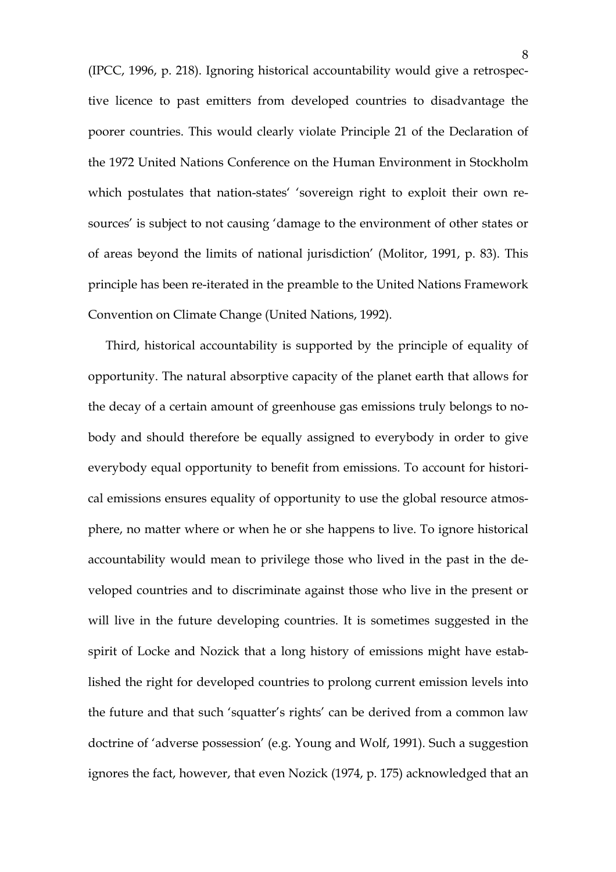(IPCC, 1996, p. 218). Ignoring historical accountability would give a retrospective licence to past emitters from developed countries to disadvantage the poorer countries. This would clearly violate Principle 21 of the Declaration of the 1972 United Nations Conference on the Human Environment in Stockholm which postulates that nation-states' 'sovereign right to exploit their own resources' is subject to not causing 'damage to the environment of other states or of areas beyond the limits of national jurisdiction' (Molitor, 1991, p. 83). This principle has been re-iterated in the preamble to the United Nations Framework Convention on Climate Change (United Nations, 1992).

Third, historical accountability is supported by the principle of equality of opportunity. The natural absorptive capacity of the planet earth that allows for the decay of a certain amount of greenhouse gas emissions truly belongs to nobody and should therefore be equally assigned to everybody in order to give everybody equal opportunity to benefit from emissions. To account for historical emissions ensures equality of opportunity to use the global resource atmosphere, no matter where or when he or she happens to live. To ignore historical accountability would mean to privilege those who lived in the past in the developed countries and to discriminate against those who live in the present or will live in the future developing countries. It is sometimes suggested in the spirit of Locke and Nozick that a long history of emissions might have established the right for developed countries to prolong current emission levels into the future and that such 'squatter's rights' can be derived from a common law doctrine of 'adverse possession' (e.g. Young and Wolf, 1991). Such a suggestion ignores the fact, however, that even Nozick (1974, p. 175) acknowledged that an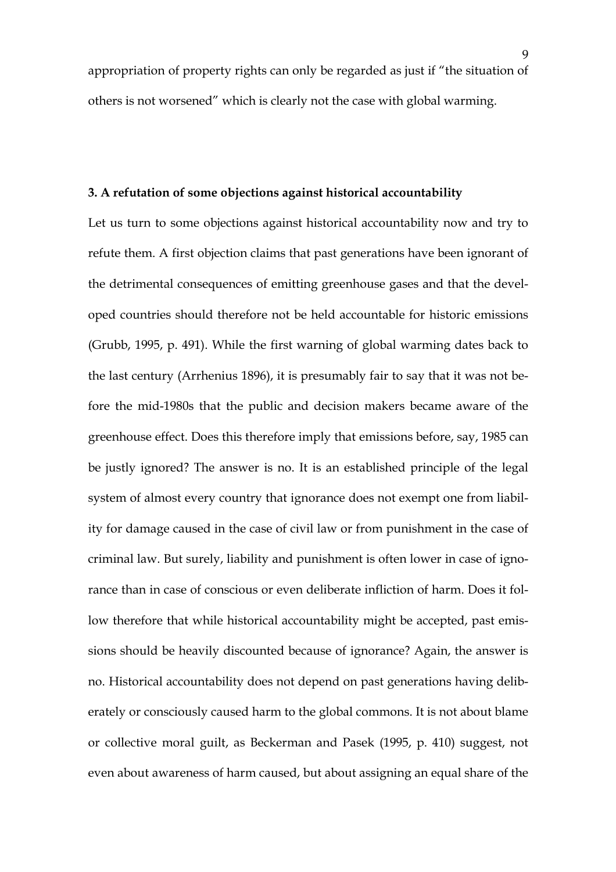appropriation of property rights can only be regarded as just if "the situation of others is not worsened" which is clearly not the case with global warming.

#### 3. A refutation of some objections against historical accountability

Let us turn to some objections against historical accountability now and try to refute them. A first objection claims that past generations have been ignorant of the detrimental consequences of emitting greenhouse gases and that the developed countries should therefore not be held accountable for historic emissions (Grubb, 1995, p. 491). While the first warning of global warming dates back to the last century (Arrhenius 1896), it is presumably fair to say that it was not before the mid-1980s that the public and decision makers became aware of the greenhouse effect. Does this therefore imply that emissions before, say, 1985 can be justly ignored? The answer is no. It is an established principle of the legal system of almost every country that ignorance does not exempt one from liability for damage caused in the case of civil law or from punishment in the case of criminal law. But surely, liability and punishment is often lower in case of ignorance than in case of conscious or even deliberate infliction of harm. Does it follow therefore that while historical accountability might be accepted, past emissions should be heavily discounted because of ignorance? Again, the answer is no. Historical accountability does not depend on past generations having deliberately or consciously caused harm to the global commons. It is not about blame or collective moral guilt, as Beckerman and Pasek (1995, p. 410) suggest, not even about awareness of harm caused, but about assigning an equal share of the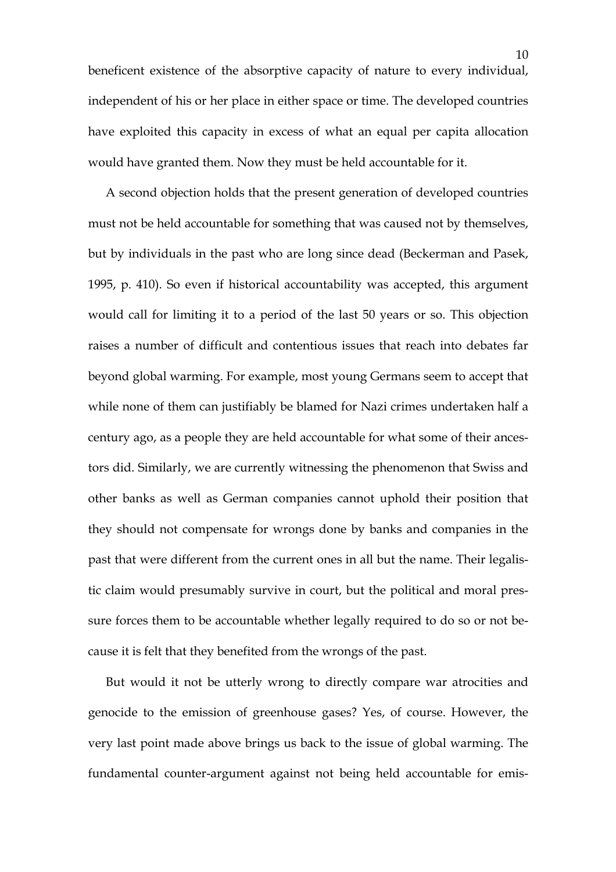beneficent existence of the absorptive capacity of nature to every individual, independent of his or her place in either space or time. The developed countries have exploited this capacity in excess of what an equal per capita allocation would have granted them. Now they must be held accountable for it.

A second objection holds that the present generation of developed countries must not be held accountable for something that was caused not by themselves, but by individuals in the past who are long since dead (Beckerman and Pasek, 1995, p. 410). So even if historical accountability was accepted, this argument would call for limiting it to a period of the last 50 years or so. This objection raises a number of difficult and contentious issues that reach into debates far beyond global warming. For example, most young Germans seem to accept that while none of them can justifiably be blamed for Nazi crimes undertaken half a century ago, as a people they are held accountable for what some of their ancestors did. Similarly, we are currently witnessing the phenomenon that Swiss and other banks as well as German companies cannot uphold their position that they should not compensate for wrongs done by banks and companies in the past that were different from the current ones in all but the name. Their legalistic claim would presumably survive in court, but the political and moral pressure forces them to be accountable whether legally required to do so or not because it is felt that they benefited from the wrongs of the past.

But would it not be utterly wrong to directly compare war atrocities and genocide to the emission of greenhouse gases? Yes, of course. However, the very last point made above brings us back to the issue of global warming. The fundamental counter-argument against not being held accountable for emis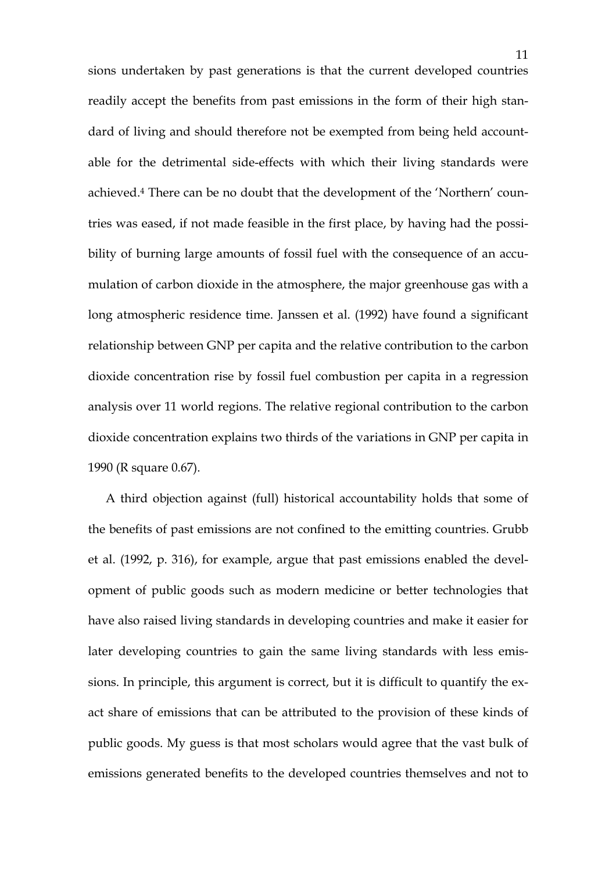sions undertaken by past generations is that the current developed countries readily accept the benefits from past emissions in the form of their high standard of living and should therefore not be exempted from being held accountable for the detrimental side-effects with which their living standards were achieved.4 There can be no doubt that the development of the 'Northern' countries was eased, if not made feasible in the first place, by having had the possibility of burning large amounts of fossil fuel with the consequence of an accumulation of carbon dioxide in the atmosphere, the major greenhouse gas with a long atmospheric residence time. Janssen et al. (1992) have found a significant relationship between GNP per capita and the relative contribution to the carbon dioxide concentration rise by fossil fuel combustion per capita in a regression analysis over 11 world regions. The relative regional contribution to the carbon dioxide concentration explains two thirds of the variations in GNP per capita in 1990 (R square 0.67).

A third objection against (full) historical accountability holds that some of the benefits of past emissions are not confined to the emitting countries. Grubb et al. (1992, p. 316), for example, argue that past emissions enabled the development of public goods such as modern medicine or better technologies that have also raised living standards in developing countries and make it easier for later developing countries to gain the same living standards with less emissions. In principle, this argument is correct, but it is difficult to quantify the exact share of emissions that can be attributed to the provision of these kinds of public goods. My guess is that most scholars would agree that the vast bulk of emissions generated benefits to the developed countries themselves and not to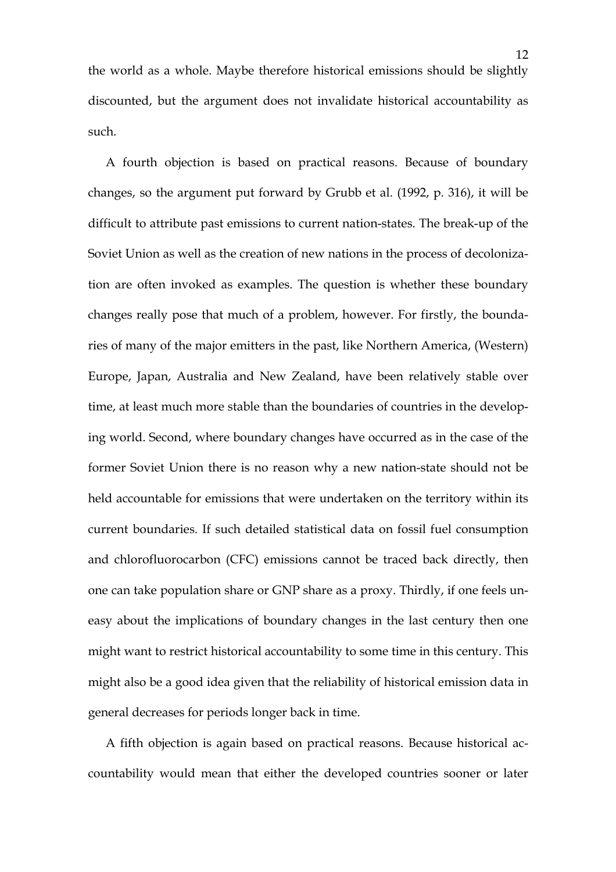the world as a whole. Maybe therefore historical emissions should be slightly discounted, but the argument does not invalidate historical accountability as such.

A fourth objection is based on practical reasons. Because of boundary changes, so the argument put forward by Grubb et al. (1992, p. 316), it will be difficult to attribute past emissions to current nation-states. The break-up of the Soviet Union as well as the creation of new nations in the process of decolonization are often invoked as examples. The question is whether these boundary changes really pose that much of a problem, however. For firstly, the boundaries of many of the major emitters in the past, like Northern America, (Western) Europe, Japan, Australia and New Zealand, have been relatively stable over time, at least much more stable than the boundaries of countries in the developing world. Second, where boundary changes have occurred as in the case of the former Soviet Union there is no reason why a new nation-state should not be held accountable for emissions that were undertaken on the territory within its current boundaries. If such detailed statistical data on fossil fuel consumption and chlorofluorocarbon (CFC) emissions cannot be traced back directly, then one can take population share or GNP share as a proxy. Thirdly, if one feels uneasy about the implications of boundary changes in the last century then one might want to restrict historical accountability to some time in this century. This might also be a good idea given that the reliability of historical emission data in general decreases for periods longer back in time.

A fifth objection is again based on practical reasons. Because historical accountability would mean that either the developed countries sooner or later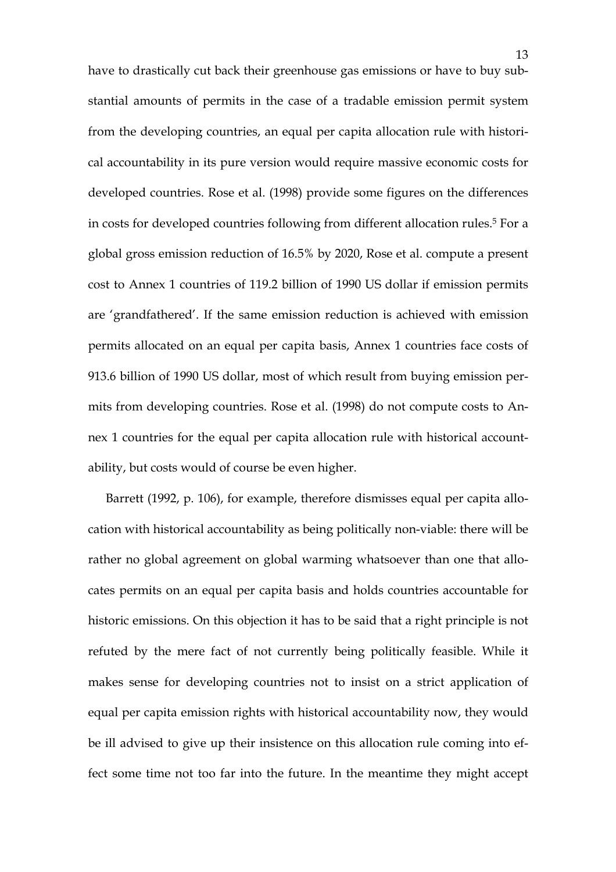have to drastically cut back their greenhouse gas emissions or have to buy substantial amounts of permits in the case of a tradable emission permit system from the developing countries, an equal per capita allocation rule with historical accountability in its pure version would require massive economic costs for developed countries. Rose et al. (1998) provide some figures on the differences in costs for developed countries following from different allocation rules.<sup>5</sup> For a global gross emission reduction of 16.5% by 2020, Rose et al. compute a present cost to Annex 1 countries of 119.2 billion of 1990 US dollar if emission permits are 'grandfathered'. If the same emission reduction is achieved with emission permits allocated on an equal per capita basis, Annex 1 countries face costs of 913.6 billion of 1990 US dollar, most of which result from buying emission permits from developing countries. Rose et al. (1998) do not compute costs to Annex 1 countries for the equal per capita allocation rule with historical accountability, but costs would of course be even higher.

Barrett (1992, p. 106), for example, therefore dismisses equal per capita allocation with historical accountability as being politically non-viable: there will be rather no global agreement on global warming whatsoever than one that allocates permits on an equal per capita basis and holds countries accountable for historic emissions. On this objection it has to be said that a right principle is not refuted by the mere fact of not currently being politically feasible. While it makes sense for developing countries not to insist on a strict application of equal per capita emission rights with historical accountability now, they would be ill advised to give up their insistence on this allocation rule coming into effect some time not too far into the future. In the meantime they might accept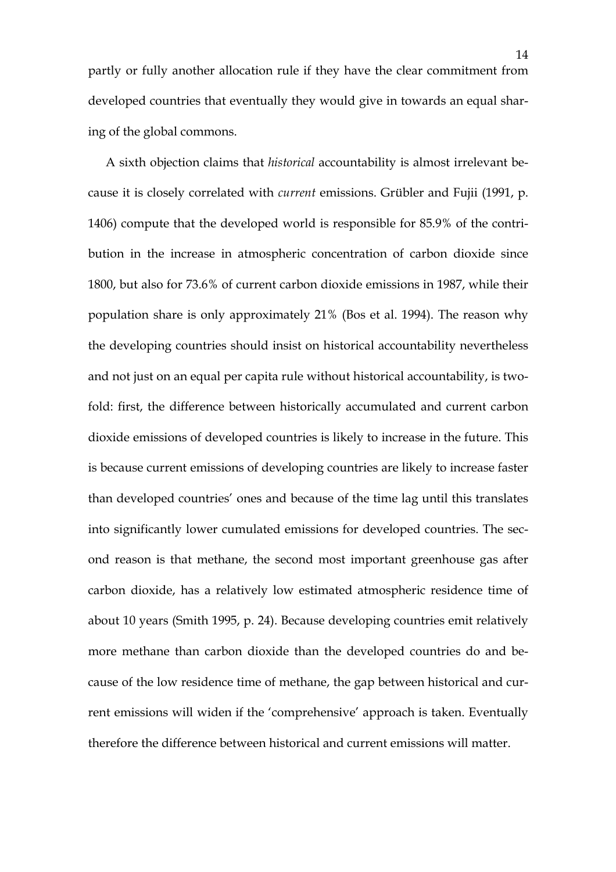partly or fully another allocation rule if they have the clear commitment from developed countries that eventually they would give in towards an equal sharing of the global commons.

A sixth objection claims that historical accountability is almost irrelevant because it is closely correlated with current emissions. Grübler and Fujii (1991, p. 1406) compute that the developed world is responsible for 85.9% of the contribution in the increase in atmospheric concentration of carbon dioxide since 1800, but also for 73.6% of current carbon dioxide emissions in 1987, while their population share is only approximately 21% (Bos et al. 1994). The reason why the developing countries should insist on historical accountability nevertheless and not just on an equal per capita rule without historical accountability, is twofold: first, the difference between historically accumulated and current carbon dioxide emissions of developed countries is likely to increase in the future. This is because current emissions of developing countries are likely to increase faster than developed countries' ones and because of the time lag until this translates into significantly lower cumulated emissions for developed countries. The second reason is that methane, the second most important greenhouse gas after carbon dioxide, has a relatively low estimated atmospheric residence time of about 10 years (Smith 1995, p. 24). Because developing countries emit relatively more methane than carbon dioxide than the developed countries do and because of the low residence time of methane, the gap between historical and current emissions will widen if the 'comprehensive' approach is taken. Eventually therefore the difference between historical and current emissions will matter.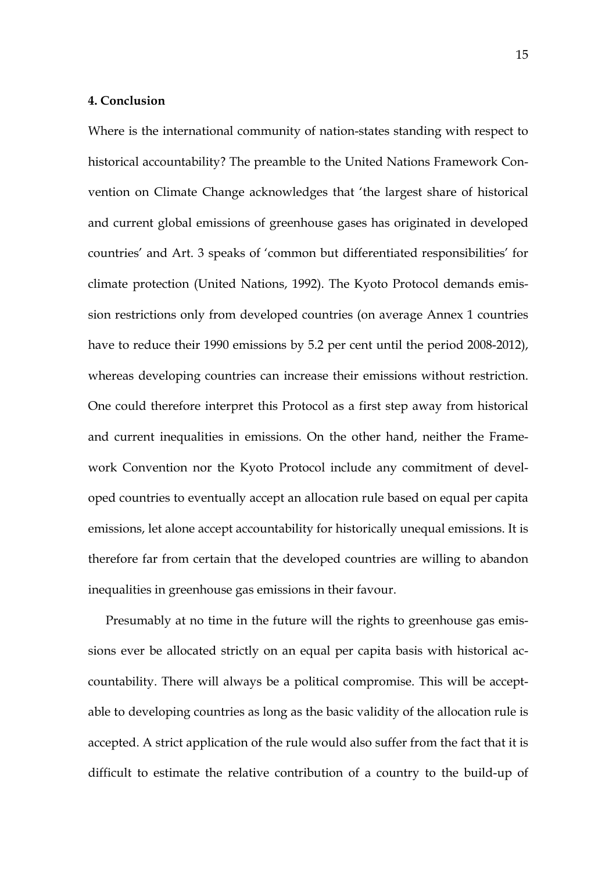#### 4. Conclusion

Where is the international community of nation-states standing with respect to historical accountability? The preamble to the United Nations Framework Convention on Climate Change acknowledges that 'the largest share of historical and current global emissions of greenhouse gases has originated in developed countries' and Art. 3 speaks of 'common but differentiated responsibilities' for climate protection (United Nations, 1992). The Kyoto Protocol demands emission restrictions only from developed countries (on average Annex 1 countries have to reduce their 1990 emissions by 5.2 per cent until the period 2008-2012), whereas developing countries can increase their emissions without restriction. One could therefore interpret this Protocol as a first step away from historical and current inequalities in emissions. On the other hand, neither the Framework Convention nor the Kyoto Protocol include any commitment of developed countries to eventually accept an allocation rule based on equal per capita emissions, let alone accept accountability for historically unequal emissions. It is therefore far from certain that the developed countries are willing to abandon inequalities in greenhouse gas emissions in their favour.

Presumably at no time in the future will the rights to greenhouse gas emissions ever be allocated strictly on an equal per capita basis with historical accountability. There will always be a political compromise. This will be acceptable to developing countries as long as the basic validity of the allocation rule is accepted. A strict application of the rule would also suffer from the fact that it is difficult to estimate the relative contribution of a country to the build-up of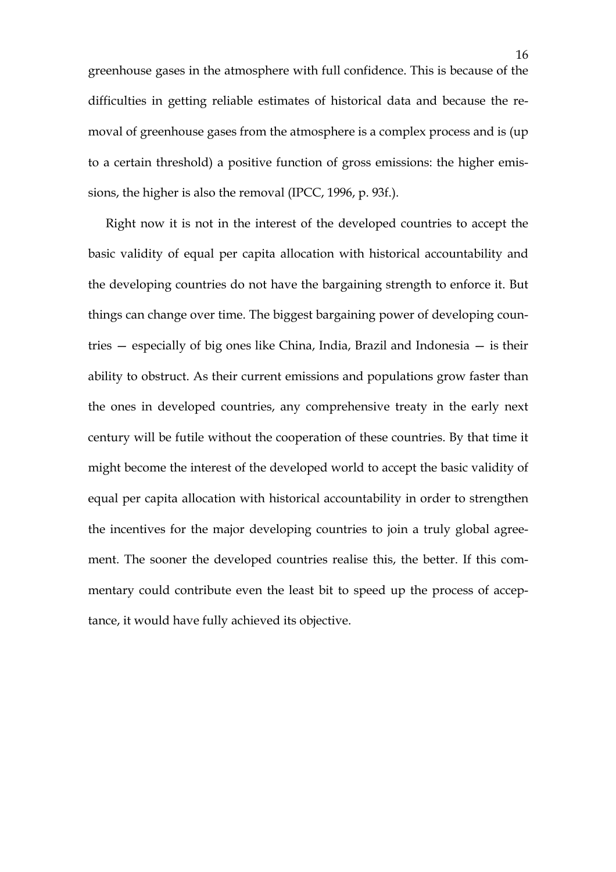greenhouse gases in the atmosphere with full confidence. This is because of the difficulties in getting reliable estimates of historical data and because the removal of greenhouse gases from the atmosphere is a complex process and is (up to a certain threshold) a positive function of gross emissions: the higher emissions, the higher is also the removal (IPCC, 1996, p. 93f.).

Right now it is not in the interest of the developed countries to accept the basic validity of equal per capita allocation with historical accountability and the developing countries do not have the bargaining strength to enforce it. But things can change over time. The biggest bargaining power of developing countries — especially of big ones like China, India, Brazil and Indonesia — is their ability to obstruct. As their current emissions and populations grow faster than the ones in developed countries, any comprehensive treaty in the early next century will be futile without the cooperation of these countries. By that time it might become the interest of the developed world to accept the basic validity of equal per capita allocation with historical accountability in order to strengthen the incentives for the major developing countries to join a truly global agreement. The sooner the developed countries realise this, the better. If this commentary could contribute even the least bit to speed up the process of acceptance, it would have fully achieved its objective.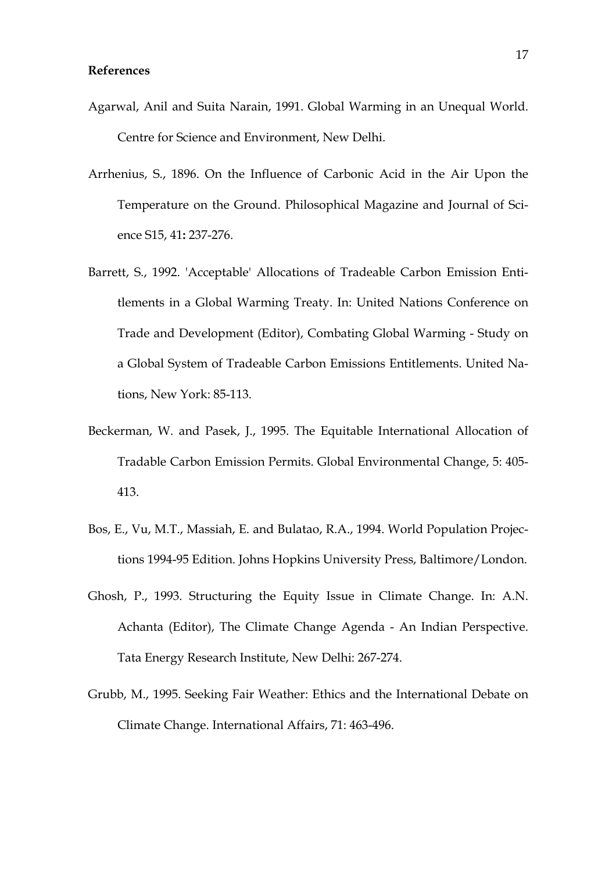- Agarwal, Anil and Suita Narain, 1991. Global Warming in an Unequal World. Centre for Science and Environment, New Delhi.
- Arrhenius, S., 1896. On the Influence of Carbonic Acid in the Air Upon the Temperature on the Ground. Philosophical Magazine and Journal of Science S15, 41: 237-276.
- Barrett, S., 1992. 'Acceptable' Allocations of Tradeable Carbon Emission Entitlements in a Global Warming Treaty. In: United Nations Conference on Trade and Development (Editor), Combating Global Warming - Study on a Global System of Tradeable Carbon Emissions Entitlements. United Nations, New York: 85-113.
- Beckerman, W. and Pasek, J., 1995. The Equitable International Allocation of Tradable Carbon Emission Permits. Global Environmental Change, 5: 405- 413.
- Bos, E., Vu, M.T., Massiah, E. and Bulatao, R.A., 1994. World Population Projections 1994-95 Edition. Johns Hopkins University Press, Baltimore/London.
- Ghosh, P., 1993. Structuring the Equity Issue in Climate Change. In: A.N. Achanta (Editor), The Climate Change Agenda - An Indian Perspective. Tata Energy Research Institute, New Delhi: 267-274.
- Grubb, M., 1995. Seeking Fair Weather: Ethics and the International Debate on Climate Change. International Affairs, 71: 463-496.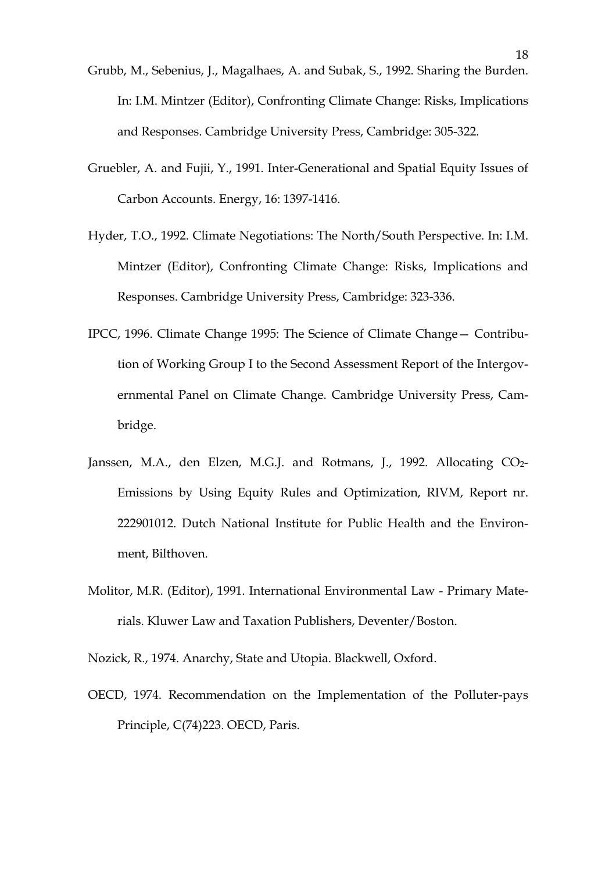- Grubb, M., Sebenius, J., Magalhaes, A. and Subak, S., 1992. Sharing the Burden. In: I.M. Mintzer (Editor), Confronting Climate Change: Risks, Implications and Responses. Cambridge University Press, Cambridge: 305-322.
- Gruebler, A. and Fujii, Y., 1991. Inter-Generational and Spatial Equity Issues of Carbon Accounts. Energy, 16: 1397-1416.
- Hyder, T.O., 1992. Climate Negotiations: The North/South Perspective. In: I.M. Mintzer (Editor), Confronting Climate Change: Risks, Implications and Responses. Cambridge University Press, Cambridge: 323-336.
- IPCC, 1996. Climate Change 1995: The Science of Climate Change— Contribution of Working Group I to the Second Assessment Report of the Intergovernmental Panel on Climate Change. Cambridge University Press, Cambridge.
- Janssen, M.A., den Elzen, M.G.J. and Rotmans, J., 1992. Allocating CO<sub>2</sub>-Emissions by Using Equity Rules and Optimization, RIVM, Report nr. 222901012. Dutch National Institute for Public Health and the Environment, Bilthoven.
- Molitor, M.R. (Editor), 1991. International Environmental Law Primary Materials. Kluwer Law and Taxation Publishers, Deventer/Boston.

Nozick, R., 1974. Anarchy, State and Utopia. Blackwell, Oxford.

OECD, 1974. Recommendation on the Implementation of the Polluter-pays Principle, C(74)223. OECD, Paris.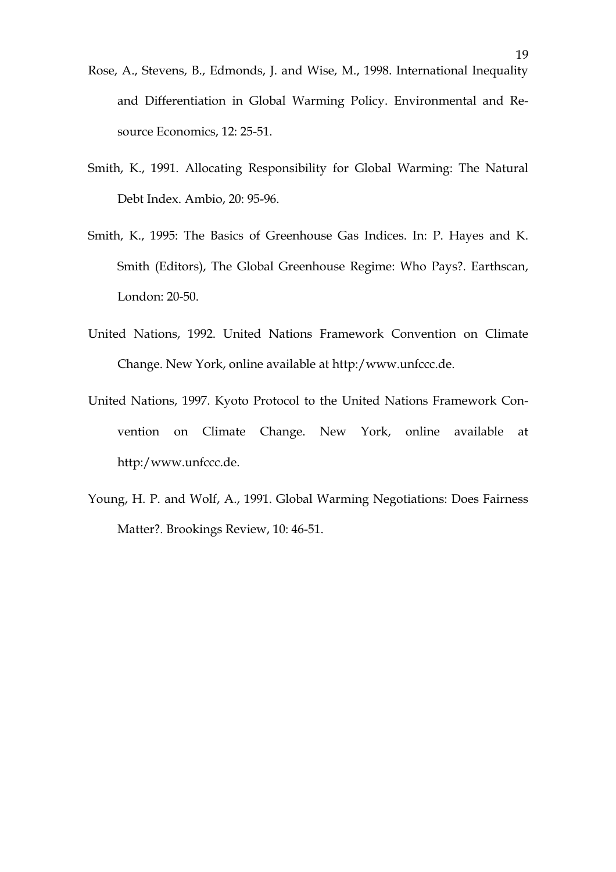- Rose, A., Stevens, B., Edmonds, J. and Wise, M., 1998. International Inequality and Differentiation in Global Warming Policy. Environmental and Resource Economics, 12: 25-51.
- Smith, K., 1991. Allocating Responsibility for Global Warming: The Natural Debt Index. Ambio, 20: 95-96.
- Smith, K., 1995: The Basics of Greenhouse Gas Indices. In: P. Hayes and K. Smith (Editors), The Global Greenhouse Regime: Who Pays?. Earthscan, London: 20-50.
- United Nations, 1992. United Nations Framework Convention on Climate Change. New York, online available at http:/www.unfccc.de.
- United Nations, 1997. Kyoto Protocol to the United Nations Framework Convention on Climate Change. New York, online available at http:/www.unfccc.de.
- Young, H. P. and Wolf, A., 1991. Global Warming Negotiations: Does Fairness Matter?. Brookings Review, 10: 46-51.